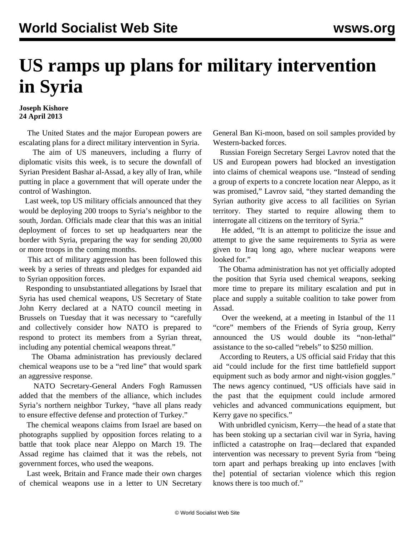## **US ramps up plans for military intervention in Syria**

## **Joseph Kishore 24 April 2013**

 The United States and the major European powers are escalating plans for a direct military intervention in Syria.

 The aim of US maneuvers, including a flurry of diplomatic visits this week, is to secure the downfall of Syrian President Bashar al-Assad, a key ally of Iran, while putting in place a government that will operate under the control of Washington.

 Last week, top US military officials announced that they would be deploying 200 troops to Syria's neighbor to the south, Jordan. Officials made clear that this was an initial deployment of forces to set up headquarters near the border with Syria, preparing the way for sending 20,000 or more troops in the coming months.

 This act of military aggression has been followed this week by a series of threats and pledges for expanded aid to Syrian opposition forces.

 Responding to unsubstantiated allegations by Israel that Syria has used chemical weapons, US Secretary of State John Kerry declared at a NATO council meeting in Brussels on Tuesday that it was necessary to "carefully and collectively consider how NATO is prepared to respond to protect its members from a Syrian threat, including any potential chemical weapons threat."

 The Obama administration has previously declared chemical weapons use to be a "red line" that would spark an aggressive response.

 NATO Secretary-General Anders Fogh Ramussen added that the members of the alliance, which includes Syria's northern neighbor Turkey, "have all plans ready to ensure effective defense and protection of Turkey."

 The chemical weapons claims from Israel are based on photographs supplied by opposition forces relating to a battle that took place near Aleppo on March 19. The Assad regime has claimed that it was the rebels, not government forces, who used the weapons.

 Last week, Britain and France made their own charges of chemical weapons use in a letter to UN Secretary

General Ban Ki-moon, based on soil samples provided by Western-backed forces.

 Russian Foreign Secretary Sergei Lavrov noted that the US and European powers had blocked an investigation into claims of chemical weapons use. "Instead of sending a group of experts to a concrete location near Aleppo, as it was promised," Lavrov said, "they started demanding the Syrian authority give access to all facilities on Syrian territory. They started to require allowing them to interrogate all citizens on the territory of Syria."

 He added, "It is an attempt to politicize the issue and attempt to give the same requirements to Syria as were given to Iraq long ago, where nuclear weapons were looked for."

 The Obama administration has not yet officially adopted the position that Syria used chemical weapons, seeking more time to prepare its military escalation and put in place and supply a suitable coalition to take power from Assad.

 Over the weekend, at a meeting in Istanbul of the 11 "core" members of the Friends of Syria group, Kerry announced the US would double its "non-lethal" assistance to the so-called "rebels" to \$250 million.

 According to Reuters, a US official said Friday that this aid "could include for the first time battlefield support equipment such as body armor and night-vision goggles." The news agency continued, "US officials have said in the past that the equipment could include armored vehicles and advanced communications equipment, but Kerry gave no specifics."

 With unbridled cynicism, Kerry—the head of a state that has been stoking up a sectarian civil war in Syria, having inflicted a catastrophe on Iraq—declared that expanded intervention was necessary to prevent Syria from "being torn apart and perhaps breaking up into enclaves [with the] potential of sectarian violence which this region knows there is too much of."